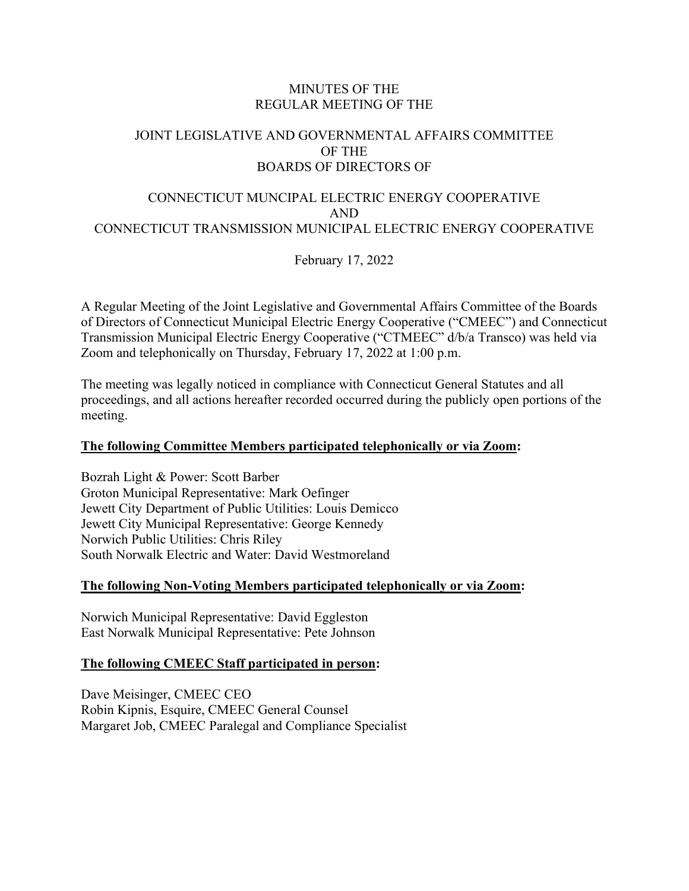## MINUTES OF THE REGULAR MEETING OF THE

# JOINT LEGISLATIVE AND GOVERNMENTAL AFFAIRS COMMITTEE OF THE BOARDS OF DIRECTORS OF

# CONNECTICUT MUNCIPAL ELECTRIC ENERGY COOPERATIVE AND CONNECTICUT TRANSMISSION MUNICIPAL ELECTRIC ENERGY COOPERATIVE

February 17, 2022

A Regular Meeting of the Joint Legislative and Governmental Affairs Committee of the Boards of Directors of Connecticut Municipal Electric Energy Cooperative ("CMEEC") and Connecticut Transmission Municipal Electric Energy Cooperative ("CTMEEC" d/b/a Transco) was held via Zoom and telephonically on Thursday, February 17, 2022 at 1:00 p.m.

The meeting was legally noticed in compliance with Connecticut General Statutes and all proceedings, and all actions hereafter recorded occurred during the publicly open portions of the meeting.

## **The following Committee Members participated telephonically or via Zoom:**

Bozrah Light & Power: Scott Barber Groton Municipal Representative: Mark Oefinger Jewett City Department of Public Utilities: Louis Demicco Jewett City Municipal Representative: George Kennedy Norwich Public Utilities: Chris Riley South Norwalk Electric and Water: David Westmoreland

## **The following Non-Voting Members participated telephonically or via Zoom:**

Norwich Municipal Representative: David Eggleston East Norwalk Municipal Representative: Pete Johnson

# **The following CMEEC Staff participated in person:**

Dave Meisinger, CMEEC CEO Robin Kipnis, Esquire, CMEEC General Counsel Margaret Job, CMEEC Paralegal and Compliance Specialist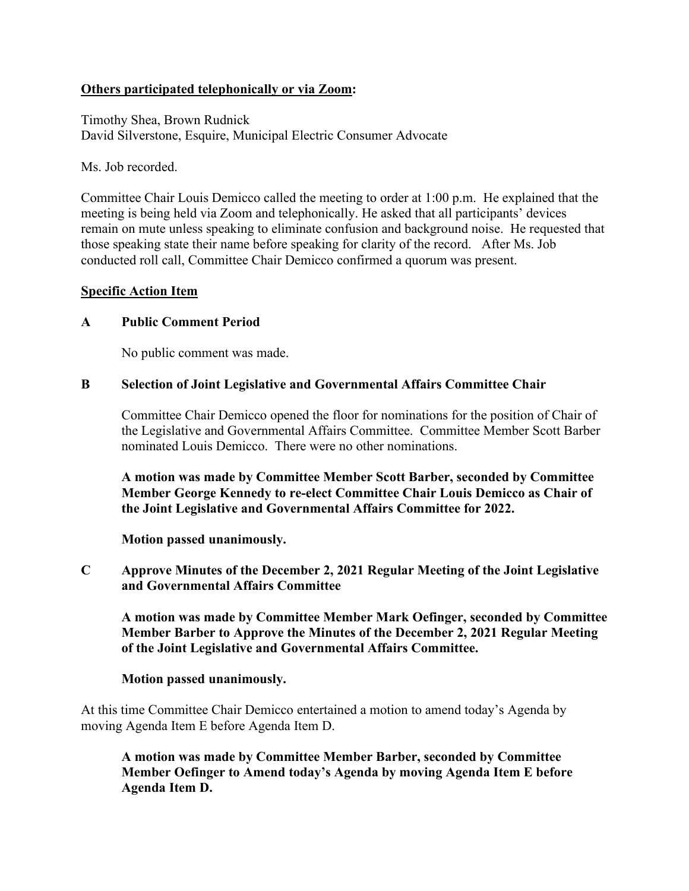## **Others participated telephonically or via Zoom:**

Timothy Shea, Brown Rudnick David Silverstone, Esquire, Municipal Electric Consumer Advocate

Ms. Job recorded.

Committee Chair Louis Demicco called the meeting to order at 1:00 p.m. He explained that the meeting is being held via Zoom and telephonically. He asked that all participants' devices remain on mute unless speaking to eliminate confusion and background noise. He requested that those speaking state their name before speaking for clarity of the record. After Ms. Job conducted roll call, Committee Chair Demicco confirmed a quorum was present.

## **Specific Action Item**

## **A Public Comment Period**

No public comment was made.

## **B Selection of Joint Legislative and Governmental Affairs Committee Chair**

Committee Chair Demicco opened the floor for nominations for the position of Chair of the Legislative and Governmental Affairs Committee. Committee Member Scott Barber nominated Louis Demicco. There were no other nominations.

**A motion was made by Committee Member Scott Barber, seconded by Committee Member George Kennedy to re-elect Committee Chair Louis Demicco as Chair of the Joint Legislative and Governmental Affairs Committee for 2022.**

**Motion passed unanimously.**

**C Approve Minutes of the December 2, 2021 Regular Meeting of the Joint Legislative and Governmental Affairs Committee**

**A motion was made by Committee Member Mark Oefinger, seconded by Committee Member Barber to Approve the Minutes of the December 2, 2021 Regular Meeting of the Joint Legislative and Governmental Affairs Committee.**

## **Motion passed unanimously.**

At this time Committee Chair Demicco entertained a motion to amend today's Agenda by moving Agenda Item E before Agenda Item D.

**A motion was made by Committee Member Barber, seconded by Committee Member Oefinger to Amend today's Agenda by moving Agenda Item E before Agenda Item D.**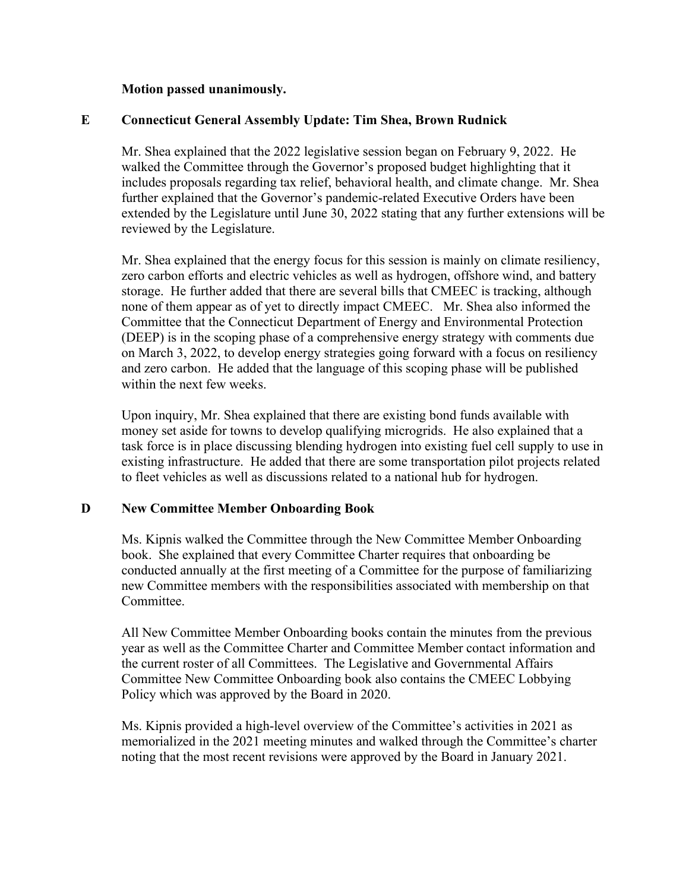#### **Motion passed unanimously.**

## **E Connecticut General Assembly Update: Tim Shea, Brown Rudnick**

Mr. Shea explained that the 2022 legislative session began on February 9, 2022. He walked the Committee through the Governor's proposed budget highlighting that it includes proposals regarding tax relief, behavioral health, and climate change. Mr. Shea further explained that the Governor's pandemic-related Executive Orders have been extended by the Legislature until June 30, 2022 stating that any further extensions will be reviewed by the Legislature.

Mr. Shea explained that the energy focus for this session is mainly on climate resiliency, zero carbon efforts and electric vehicles as well as hydrogen, offshore wind, and battery storage. He further added that there are several bills that CMEEC is tracking, although none of them appear as of yet to directly impact CMEEC. Mr. Shea also informed the Committee that the Connecticut Department of Energy and Environmental Protection (DEEP) is in the scoping phase of a comprehensive energy strategy with comments due on March 3, 2022, to develop energy strategies going forward with a focus on resiliency and zero carbon. He added that the language of this scoping phase will be published within the next few weeks.

Upon inquiry, Mr. Shea explained that there are existing bond funds available with money set aside for towns to develop qualifying microgrids. He also explained that a task force is in place discussing blending hydrogen into existing fuel cell supply to use in existing infrastructure. He added that there are some transportation pilot projects related to fleet vehicles as well as discussions related to a national hub for hydrogen.

## **D New Committee Member Onboarding Book**

Ms. Kipnis walked the Committee through the New Committee Member Onboarding book. She explained that every Committee Charter requires that onboarding be conducted annually at the first meeting of a Committee for the purpose of familiarizing new Committee members with the responsibilities associated with membership on that Committee.

All New Committee Member Onboarding books contain the minutes from the previous year as well as the Committee Charter and Committee Member contact information and the current roster of all Committees. The Legislative and Governmental Affairs Committee New Committee Onboarding book also contains the CMEEC Lobbying Policy which was approved by the Board in 2020.

Ms. Kipnis provided a high-level overview of the Committee's activities in 2021 as memorialized in the 2021 meeting minutes and walked through the Committee's charter noting that the most recent revisions were approved by the Board in January 2021.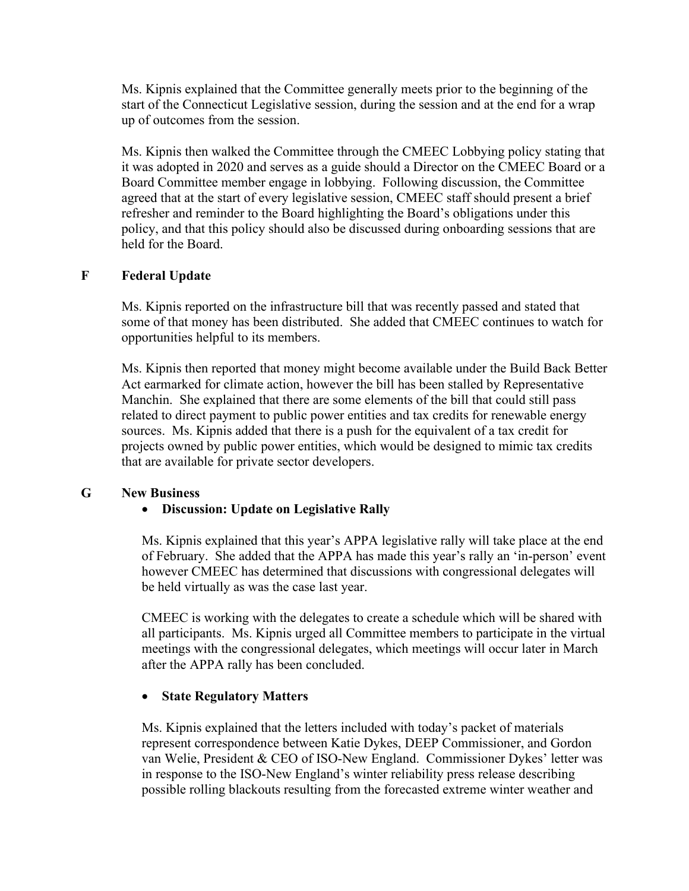Ms. Kipnis explained that the Committee generally meets prior to the beginning of the start of the Connecticut Legislative session, during the session and at the end for a wrap up of outcomes from the session.

Ms. Kipnis then walked the Committee through the CMEEC Lobbying policy stating that it was adopted in 2020 and serves as a guide should a Director on the CMEEC Board or a Board Committee member engage in lobbying. Following discussion, the Committee agreed that at the start of every legislative session, CMEEC staff should present a brief refresher and reminder to the Board highlighting the Board's obligations under this policy, and that this policy should also be discussed during onboarding sessions that are held for the Board.

## **F Federal Update**

Ms. Kipnis reported on the infrastructure bill that was recently passed and stated that some of that money has been distributed. She added that CMEEC continues to watch for opportunities helpful to its members.

Ms. Kipnis then reported that money might become available under the Build Back Better Act earmarked for climate action, however the bill has been stalled by Representative Manchin. She explained that there are some elements of the bill that could still pass related to direct payment to public power entities and tax credits for renewable energy sources. Ms. Kipnis added that there is a push for the equivalent of a tax credit for projects owned by public power entities, which would be designed to mimic tax credits that are available for private sector developers.

## **G New Business**

# • **Discussion: Update on Legislative Rally**

Ms. Kipnis explained that this year's APPA legislative rally will take place at the end of February. She added that the APPA has made this year's rally an 'in-person' event however CMEEC has determined that discussions with congressional delegates will be held virtually as was the case last year.

CMEEC is working with the delegates to create a schedule which will be shared with all participants. Ms. Kipnis urged all Committee members to participate in the virtual meetings with the congressional delegates, which meetings will occur later in March after the APPA rally has been concluded.

# • **State Regulatory Matters**

Ms. Kipnis explained that the letters included with today's packet of materials represent correspondence between Katie Dykes, DEEP Commissioner, and Gordon van Welie, President & CEO of ISO-New England. Commissioner Dykes' letter was in response to the ISO-New England's winter reliability press release describing possible rolling blackouts resulting from the forecasted extreme winter weather and